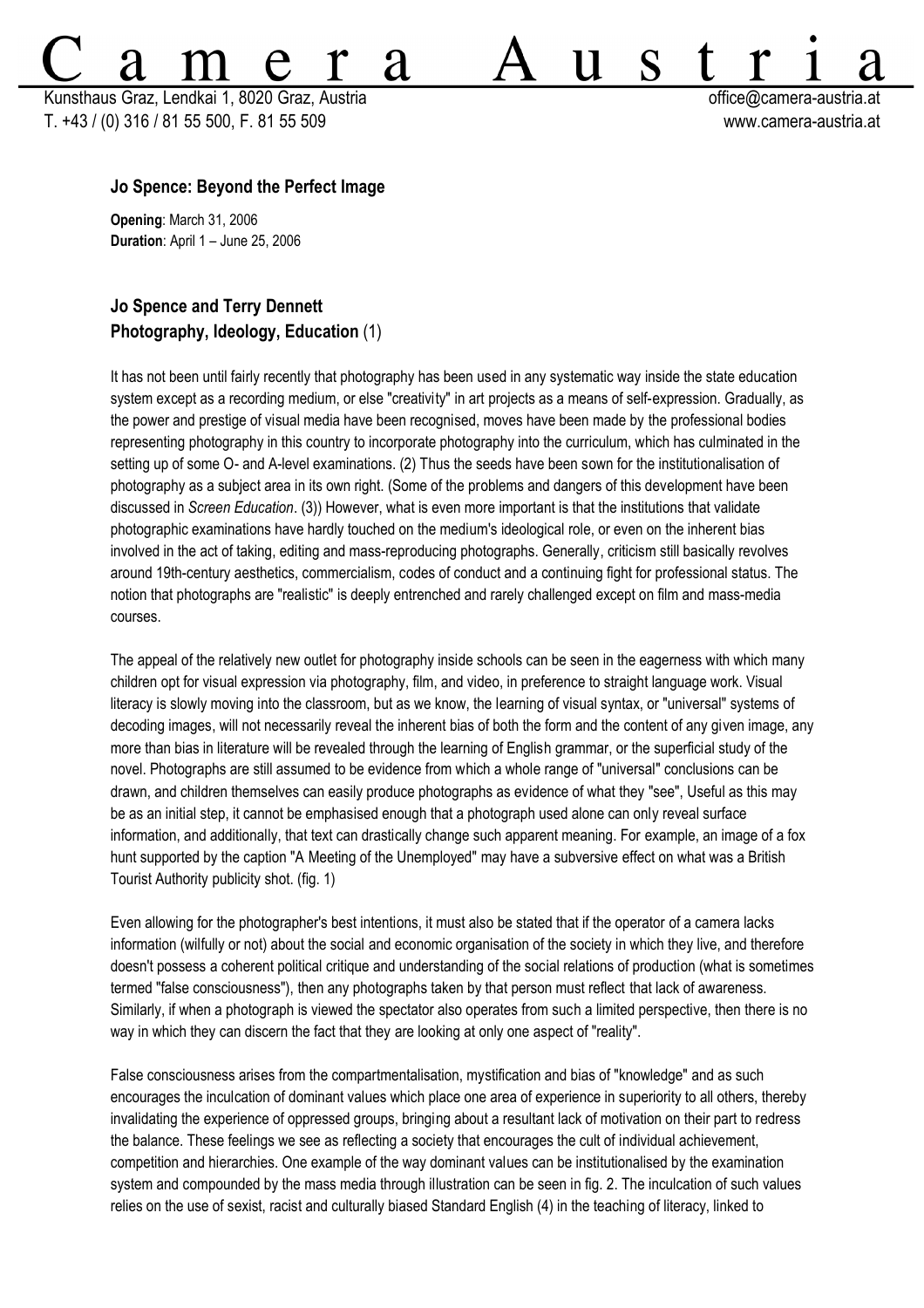Kunsthaus Graz, Lendkai 1, 8020 Graz, Austria **bereikai austria atsessite austria et austria** et controller austria.at T. +43 / (0) 316 / 81 55 500, F. 81 55 509 www.camera-austria.at

S

11

## **Jo Spence: Beyond the Perfect Image**

**Opening**: March 31, 2006 **Duration**: April 1 – June 25, 2006

# **Jo Spence and Terry Dennett Photography, Ideology, Education** (1)

It has not been until fairly recently that photography has been used in any systematic way inside the state education system except as a recording medium, or else "creativity" in art projects as a means of self-expression. Gradually, as the power and prestige of visual media have been recognised, moves have been made by the professional bodies representing photography in this country to incorporate photography into the curriculum, which has culminated in the setting up of some O- and A-level examinations. (2) Thus the seeds have been sown for the institutionalisation of photography as a subject area in its own right. (Some of the problems and dangers of this development have been discussed in *Screen Education*. (3)) However, what is even more important is that the institutions that validate photographic examinations have hardly touched on the medium's ideological role, or even on the inherent bias involved in the act of taking, editing and mass-reproducing photographs. Generally, criticism still basically revolves around 19th-century aesthetics, commercialism, codes of conduct and a continuing fight for professional status. The notion that photographs are "realistic" is deeply entrenched and rarely challenged except on film and mass-media courses.

**'d** 

The appeal of the relatively new outlet for photography inside schools can be seen in the eagerness with which many children opt for visual expression via photography, film, and video, in preference to straight language work. Visual literacy is slowly moving into the classroom, but as we know, the learning of visual syntax, or "universal" systems of decoding images, will not necessarily reveal the inherent bias of both the form and the content of any given image, any more than bias in literature will be revealed through the learning of English grammar, or the superficial study of the novel. Photographs are still assumed to be evidence from which a whole range of "universal" conclusions can be drawn, and children themselves can easily produce photographs as evidence of what they "see", Useful as this may be as an initial step, it cannot be emphasised enough that a photograph used alone can only reveal surface information, and additionally, that text can drastically change such apparent meaning. For example, an image of a fox hunt supported by the caption "A Meeting of the Unemployed" may have a subversive effect on what was a British Tourist Authority publicity shot. (fig. 1)

Even allowing for the photographer's best intentions, it must also be stated that if the operator of a camera lacks information (wilfully or not) about the social and economic organisation of the society in which they live, and therefore doesn't possess a coherent political critique and understanding of the social relations of production (what is sometimes termed "false consciousness"), then any photographs taken by that person must reflect that lack of awareness. Similarly, if when a photograph is viewed the spectator also operates from such a limited perspective, then there is no way in which they can discern the fact that they are looking at only one aspect of "reality".

False consciousness arises from the compartmentalisation, mystification and bias of "knowledge" and as such encourages the inculcation of dominant values which place one area of experience in superiority to all others, thereby invalidating the experience of oppressed groups, bringing about a resultant lack of motivation on their part to redress the balance. These feelings we see as reflecting a society that encourages the cult of individual achievement, competition and hierarchies. One example of the way dominant values can be institutionalised by the examination system and compounded by the mass media through illustration can be seen in fig. 2. The inculcation of such values relies on the use of sexist, racist and culturally biased Standard English (4) in the teaching of literacy, linked to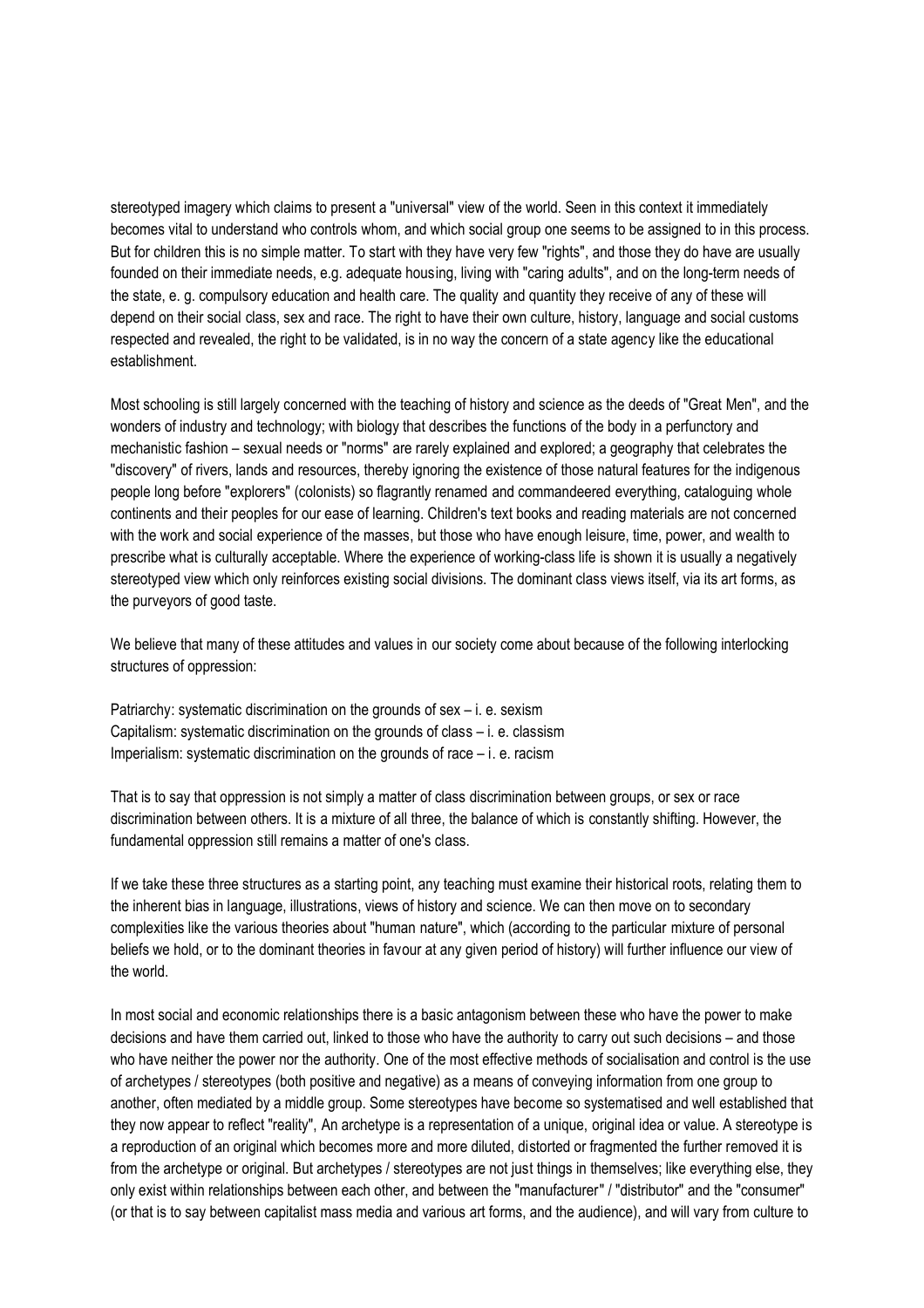stereotyped imagery which claims to present a "universal" view of the world. Seen in this context it immediately becomes vital to understand who controls whom, and which social group one seems to be assigned to in this process. But for children this is no simple matter. To start with they have very few "rights", and those they do have are usually founded on their immediate needs, e.g. adequate housing, living with "caring adults", and on the long-term needs of the state, e. g. compulsory education and health care. The quality and quantity they receive of any of these will depend on their social class, sex and race. The right to have their own culture, history, language and social customs respected and revealed, the right to be validated, is in no way the concern of a state agency like the educational establishment.

Most schooling is still largely concerned with the teaching of history and science as the deeds of "Great Men", and the wonders of industry and technology; with biology that describes the functions of the body in a perfunctory and mechanistic fashion – sexual needs or "norms" are rarely explained and explored; a geography that celebrates the "discovery" of rivers, lands and resources, thereby ignoring the existence of those natural features for the indigenous people long before "explorers" (colonists) so flagrantly renamed and commandeered everything, cataloguing whole continents and their peoples for our ease of learning. Children's text books and reading materials are not concerned with the work and social experience of the masses, but those who have enough leisure, time, power, and wealth to prescribe what is culturally acceptable. Where the experience of working-class life is shown it is usually a negatively stereotyped view which only reinforces existing social divisions. The dominant class views itself, via its art forms, as the purveyors of good taste.

We believe that many of these attitudes and values in our society come about because of the following interlocking structures of oppression:

Patriarchy: systematic discrimination on the grounds of sex – i. e. sexism Capitalism: systematic discrimination on the grounds of class – i. e. classism Imperialism: systematic discrimination on the grounds of race – i. e. racism

That is to say that oppression is not simply a matter of class discrimination between groups, or sex or race discrimination between others. It is a mixture of all three, the balance of which is constantly shifting. However, the fundamental oppression still remains a matter of one's class.

If we take these three structures as a starting point, any teaching must examine their historical roots, relating them to the inherent bias in language, illustrations, views of history and science. We can then move on to secondary complexities like the various theories about "human nature", which (according to the particular mixture of personal beliefs we hold, or to the dominant theories in favour at any given period of history) will further influence our view of the world.

In most social and economic relationships there is a basic antagonism between these who have the power to make decisions and have them carried out, linked to those who have the authority to carry out such decisions – and those who have neither the power nor the authority. One of the most effective methods of socialisation and control is the use of archetypes / stereotypes (both positive and negative) as a means of conveying information from one group to another, often mediated by a middle group. Some stereotypes have become so systematised and well established that they now appear to reflect "reality", An archetype is a representation of a unique, original idea or value. A stereotype is a reproduction of an original which becomes more and more diluted, distorted or fragmented the further removed it is from the archetype or original. But archetypes / stereotypes are not just things in themselves; like everything else, they only exist within relationships between each other, and between the "manufacturer" / "distributor" and the "consumer" (or that is to say between capitalist mass media and various art forms, and the audience), and will vary from culture to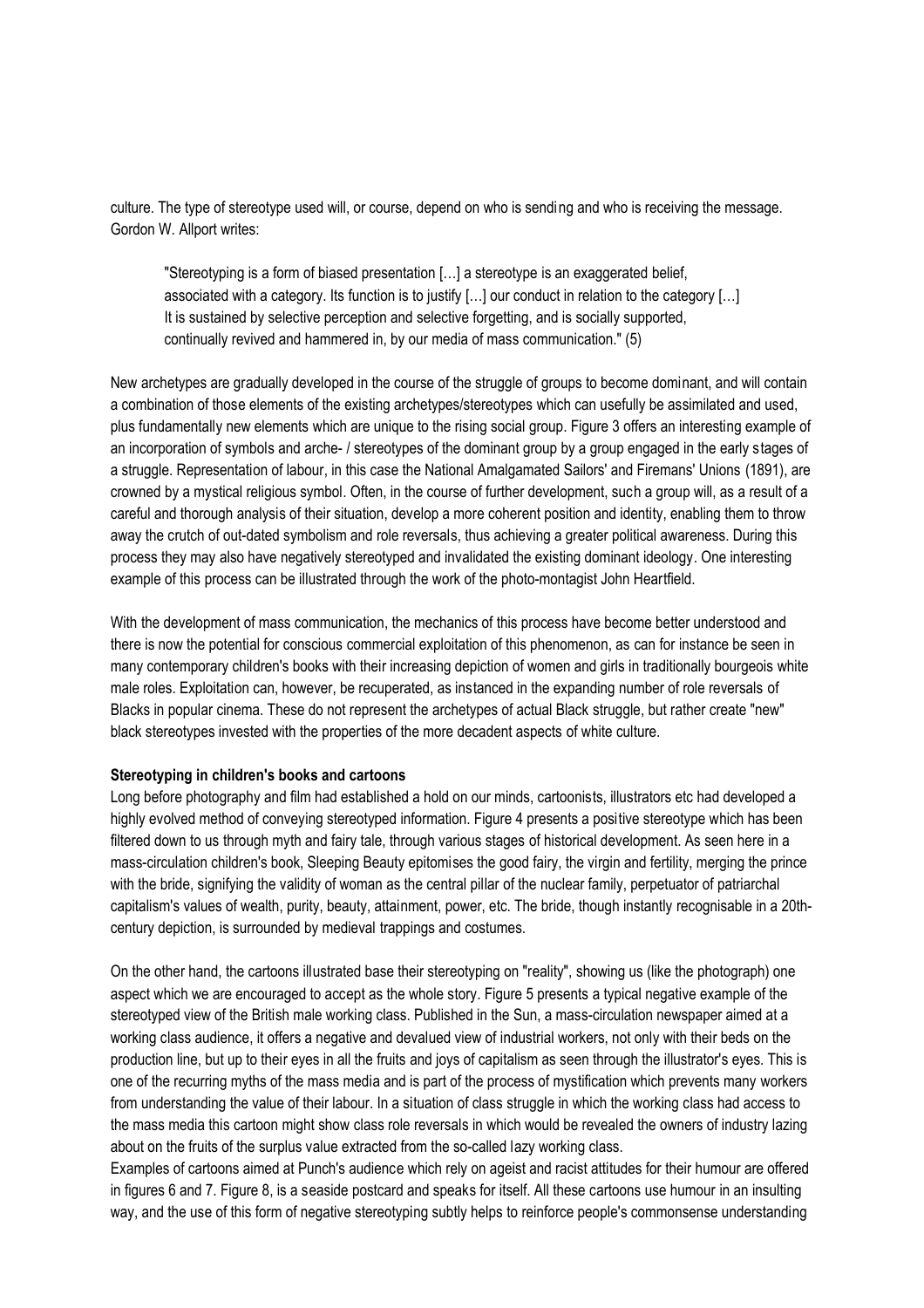culture. The type of stereotype used will, or course, depend on who is sending and who is receiving the message. Gordon W. Allport writes:

"Stereotyping is a form of biased presentation […] a stereotype is an exaggerated belief, associated with a category. Its function is to justify […] our conduct in relation to the category […] It is sustained by selective perception and selective forgetting, and is socially supported, continually revived and hammered in, by our media of mass communication." (5)

New archetypes are gradually developed in the course of the struggle of groups to become dominant, and will contain a combination of those elements of the existing archetypes/stereotypes which can usefully be assimilated and used, plus fundamentally new elements which are unique to the rising social group. Figure 3 offers an interesting example of an incorporation of symbols and arche- / stereotypes of the dominant group by a group engaged in the early stages of a struggle. Representation of labour, in this case the National Amalgamated Sailors' and Firemans' Unions (1891), are crowned by a mystical religious symbol. Often, in the course of further development, such a group will, as a result of a careful and thorough analysis of their situation, develop a more coherent position and identity, enabling them to throw away the crutch of out-dated symbolism and role reversals, thus achieving a greater political awareness. During this process they may also have negatively stereotyped and invalidated the existing dominant ideology. One interesting example of this process can be illustrated through the work of the photo-montagist John Heartfield.

With the development of mass communication, the mechanics of this process have become better understood and there is now the potential for conscious commercial exploitation of this phenomenon, as can for instance be seen in many contemporary children's books with their increasing depiction of women and girls in traditionally bourgeois white male roles. Exploitation can, however, be recuperated, as instanced in the expanding number of role reversals of Blacks in popular cinema. These do not represent the archetypes of actual Black struggle, but rather create "new" black stereotypes invested with the properties of the more decadent aspects of white culture.

#### **Stereotyping in children's books and cartoons**

Long before photography and film had established a hold on our minds, cartoonists, illustrators etc had developed a highly evolved method of conveying stereotyped information. Figure 4 presents a positive stereotype which has been filtered down to us through myth and fairy tale, through various stages of historical development. As seen here in a mass-circulation children's book, Sleeping Beauty epitomises the good fairy, the virgin and fertility, merging the prince with the bride, signifying the validity of woman as the central pillar of the nuclear family, perpetuator of patriarchal capitalism's values of wealth, purity, beauty, attainment, power, etc. The bride, though instantly recognisable in a 20thcentury depiction, is surrounded by medieval trappings and costumes.

On the other hand, the cartoons illustrated base their stereotyping on "reality", showing us (like the photograph) one aspect which we are encouraged to accept as the whole story. Figure 5 presents a typical negative example of the stereotyped view of the British male working class. Published in the Sun, a mass-circulation newspaper aimed at a working class audience, it offers a negative and devalued view of industrial workers, not only with their beds on the production line, but up to their eyes in all the fruits and joys of capitalism as seen through the illustrator's eyes. This is one of the recurring myths of the mass media and is part of the process of mystification which prevents many workers from understanding the value of their labour. In a situation of class struggle in which the working class had access to the mass media this cartoon might show class role reversals in which would be revealed the owners of industry lazing about on the fruits of the surplus value extracted from the so-called lazy working class.

Examples of cartoons aimed at Punch's audience which rely on ageist and racist attitudes for their humour are offered in figures 6 and 7. Figure 8, is a seaside postcard and speaks for itself. All these cartoons use humour in an insulting way, and the use of this form of negative stereotyping subtly helps to reinforce people's commonsense understanding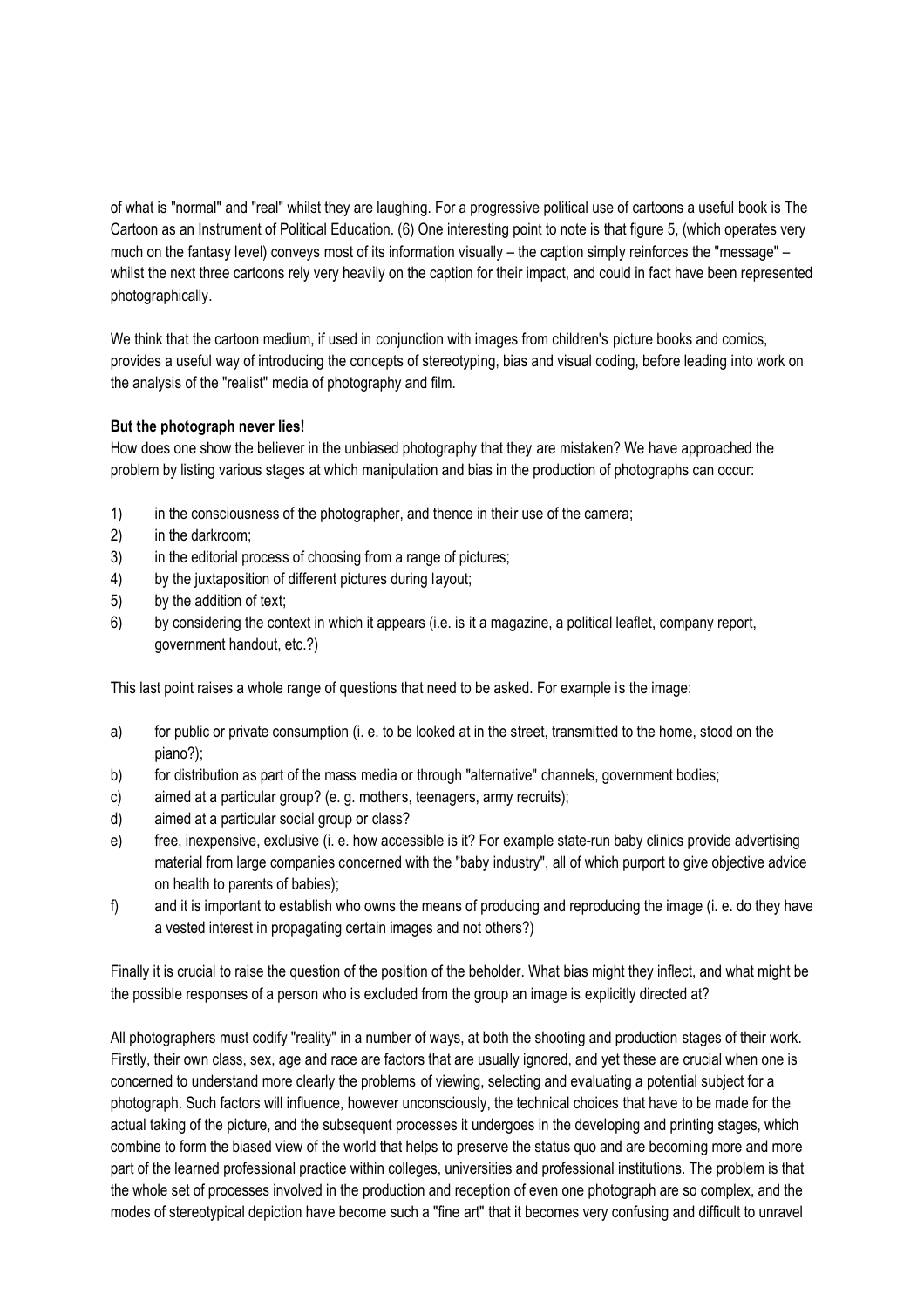of what is "normal" and "real" whilst they are laughing. For a progressive political use of cartoons a useful book is The Cartoon as an Instrument of Political Education. (6) One interesting point to note is that figure 5, (which operates very much on the fantasy level) conveys most of its information visually – the caption simply reinforces the "message" – whilst the next three cartoons rely very heavily on the caption for their impact, and could in fact have been represented photographically.

We think that the cartoon medium, if used in conjunction with images from children's picture books and comics, provides a useful way of introducing the concepts of stereotyping, bias and visual coding, before leading into work on the analysis of the "realist" media of photography and film.

# **But the photograph never lies!**

How does one show the believer in the unbiased photography that they are mistaken? We have approached the problem by listing various stages at which manipulation and bias in the production of photographs can occur:

- 1) in the consciousness of the photographer, and thence in their use of the camera;
- 2) in the darkroom;
- 3) in the editorial process of choosing from a range of pictures;
- 4) by the juxtaposition of different pictures during layout;
- 5) by the addition of text;
- 6) by considering the context in which it appears (i.e. is it a magazine, a political leaflet, company report, government handout, etc.?)

This last point raises a whole range of questions that need to be asked. For example is the image:

- a) for public or private consumption (i. e. to be looked at in the street, transmitted to the home, stood on the piano?);
- b) for distribution as part of the mass media or through "alternative" channels, government bodies;
- c) aimed at a particular group? (e. g. mothers, teenagers, army recruits);
- d) aimed at a particular social group or class?
- e) free, inexpensive, exclusive (i. e. how accessible is it? For example state-run baby clinics provide advertising material from large companies concerned with the "baby industry", all of which purport to give objective advice on health to parents of babies);
- f) and it is important to establish who owns the means of producing and reproducing the image (i. e. do they have a vested interest in propagating certain images and not others?)

Finally it is crucial to raise the question of the position of the beholder. What bias might they inflect, and what might be the possible responses of a person who is excluded from the group an image is explicitly directed at?

All photographers must codify "reality" in a number of ways, at both the shooting and production stages of their work. Firstly, their own class, sex, age and race are factors that are usually ignored, and yet these are crucial when one is concerned to understand more clearly the problems of viewing, selecting and evaluating a potential subject for a photograph. Such factors will influence, however unconsciously, the technical choices that have to be made for the actual taking of the picture, and the subsequent processes it undergoes in the developing and printing stages, which combine to form the biased view of the world that helps to preserve the status quo and are becoming more and more part of the learned professional practice within colleges, universities and professional institutions. The problem is that the whole set of processes involved in the production and reception of even one photograph are so complex, and the modes of stereotypical depiction have become such a "fine art" that it becomes very confusing and difficult to unravel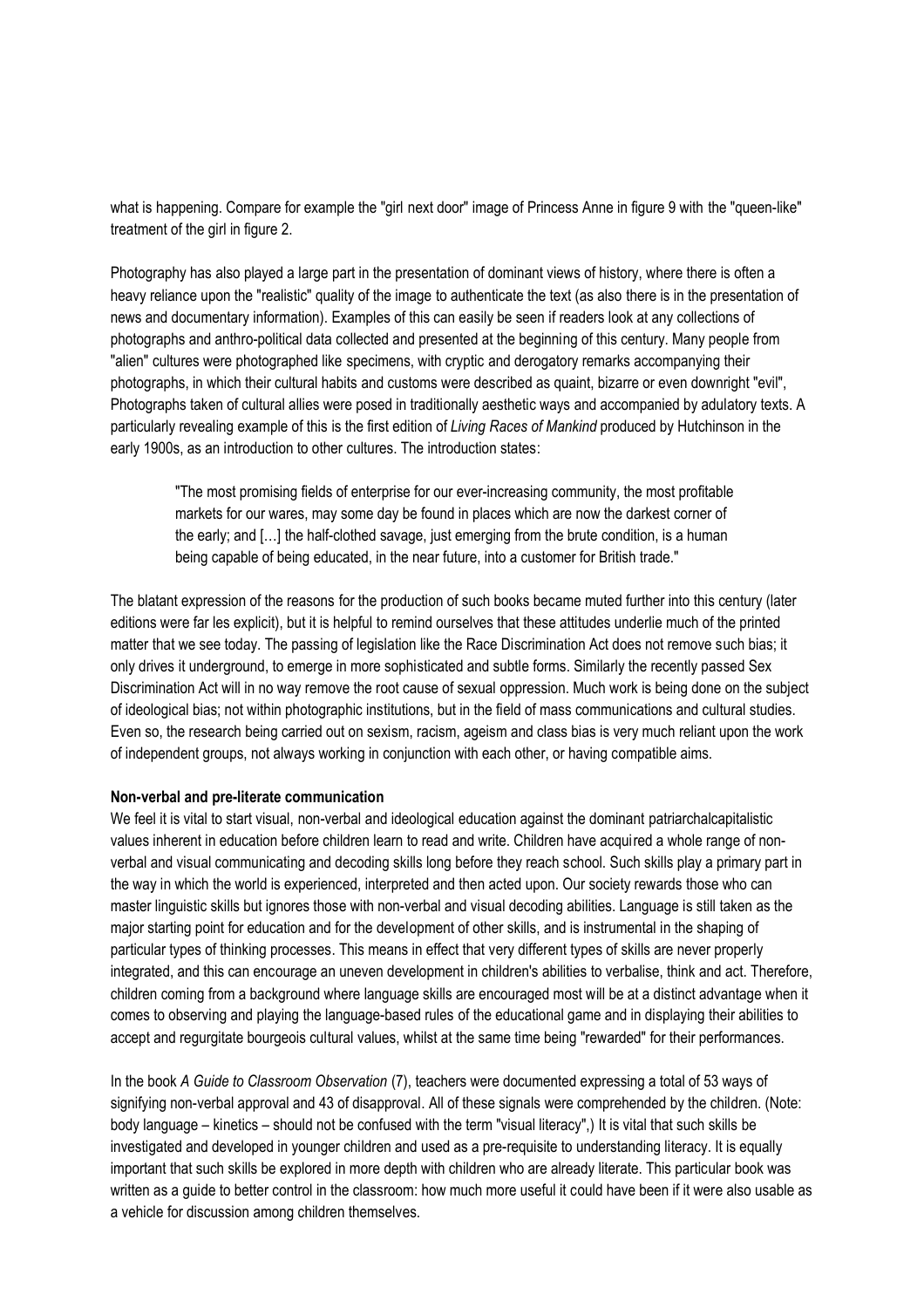what is happening. Compare for example the "girl next door" image of Princess Anne in figure 9 with the "queen-like" treatment of the girl in figure 2.

Photography has also played a large part in the presentation of dominant views of history, where there is often a heavy reliance upon the "realistic" quality of the image to authenticate the text (as also there is in the presentation of news and documentary information). Examples of this can easily be seen if readers look at any collections of photographs and anthro-political data collected and presented at the beginning of this century. Many people from "alien" cultures were photographed like specimens, with cryptic and derogatory remarks accompanying their photographs, in which their cultural habits and customs were described as quaint, bizarre or even downright "evil", Photographs taken of cultural allies were posed in traditionally aesthetic ways and accompanied by adulatory texts. A particularly revealing example of this is the first edition of *Living Races of Mankind* produced by Hutchinson in the early 1900s, as an introduction to other cultures. The introduction states:

"The most promising fields of enterprise for our ever-increasing community, the most profitable markets for our wares, may some day be found in places which are now the darkest corner of the early; and […] the half-clothed savage, just emerging from the brute condition, is a human being capable of being educated, in the near future, into a customer for British trade."

The blatant expression of the reasons for the production of such books became muted further into this century (later editions were far les explicit), but it is helpful to remind ourselves that these attitudes underlie much of the printed matter that we see today. The passing of legislation like the Race Discrimination Act does not remove such bias; it only drives it underground, to emerge in more sophisticated and subtle forms. Similarly the recently passed Sex Discrimination Act will in no way remove the root cause of sexual oppression. Much work is being done on the subject of ideological bias; not within photographic institutions, but in the field of mass communications and cultural studies. Even so, the research being carried out on sexism, racism, ageism and class bias is very much reliant upon the work of independent groups, not always working in conjunction with each other, or having compatible aims.

#### **Non-verbal and pre-literate communication**

We feel it is vital to start visual, non-verbal and ideological education against the dominant patriarchalcapitalistic values inherent in education before children learn to read and write. Children have acquired a whole range of nonverbal and visual communicating and decoding skills long before they reach school. Such skills play a primary part in the way in which the world is experienced, interpreted and then acted upon. Our society rewards those who can master linguistic skills but ignores those with non-verbal and visual decoding abilities. Language is still taken as the major starting point for education and for the development of other skills, and is instrumental in the shaping of particular types of thinking processes. This means in effect that very different types of skills are never properly integrated, and this can encourage an uneven development in children's abilities to verbalise, think and act. Therefore, children coming from a background where language skills are encouraged most will be at a distinct advantage when it comes to observing and playing the language-based rules of the educational game and in displaying their abilities to accept and regurgitate bourgeois cultural values, whilst at the same time being "rewarded" for their performances.

In the book *A Guide to Classroom Observation* (7), teachers were documented expressing a total of 53 ways of signifying non-verbal approval and 43 of disapproval. All of these signals were comprehended by the children. (Note: body language – kinetics – should not be confused with the term "visual literacy",) It is vital that such skills be investigated and developed in younger children and used as a pre-requisite to understanding literacy. It is equally important that such skills be explored in more depth with children who are already literate. This particular book was written as a guide to better control in the classroom: how much more useful it could have been if it were also usable as a vehicle for discussion among children themselves.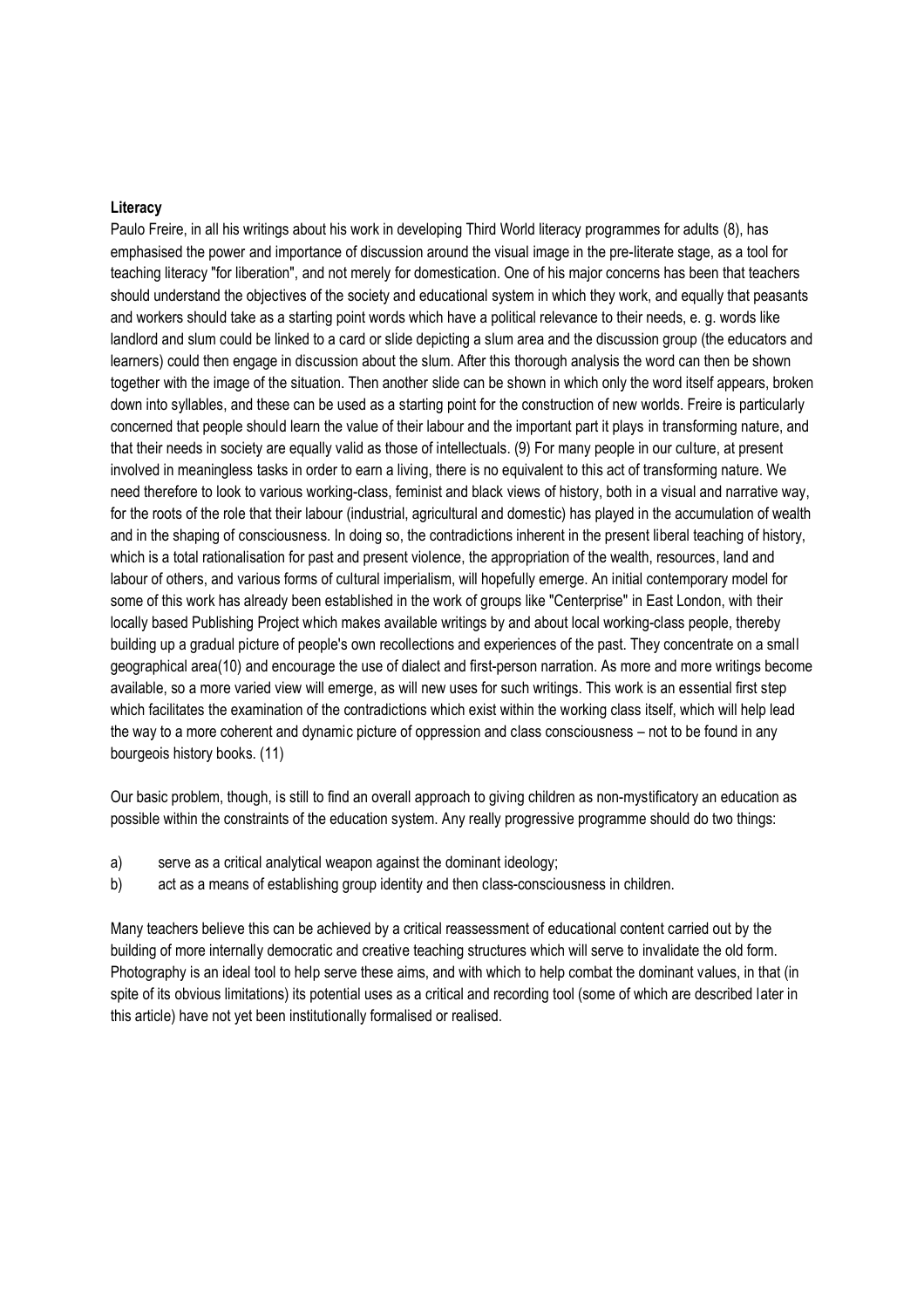#### **Literacy**

Paulo Freire, in all his writings about his work in developing Third World literacy programmes for adults (8), has emphasised the power and importance of discussion around the visual image in the pre-literate stage, as a tool for teaching literacy "for liberation", and not merely for domestication. One of his major concerns has been that teachers should understand the objectives of the society and educational system in which they work, and equally that peasants and workers should take as a starting point words which have a political relevance to their needs, e. g. words like landlord and slum could be linked to a card or slide depicting a slum area and the discussion group (the educators and learners) could then engage in discussion about the slum. After this thorough analysis the word can then be shown together with the image of the situation. Then another slide can be shown in which only the word itself appears, broken down into syllables, and these can be used as a starting point for the construction of new worlds. Freire is particularly concerned that people should learn the value of their labour and the important part it plays in transforming nature, and that their needs in society are equally valid as those of intellectuals. (9) For many people in our culture, at present involved in meaningless tasks in order to earn a living, there is no equivalent to this act of transforming nature. We need therefore to look to various working-class, feminist and black views of history, both in a visual and narrative way, for the roots of the role that their labour (industrial, agricultural and domestic) has played in the accumulation of wealth and in the shaping of consciousness. In doing so, the contradictions inherent in the present liberal teaching of history, which is a total rationalisation for past and present violence, the appropriation of the wealth, resources, land and labour of others, and various forms of cultural imperialism, will hopefully emerge. An initial contemporary model for some of this work has already been established in the work of groups like "Centerprise" in East London, with their locally based Publishing Project which makes available writings by and about local working-class people, thereby building up a gradual picture of people's own recollections and experiences of the past. They concentrate on a small geographical area(10) and encourage the use of dialect and first-person narration. As more and more writings become available, so a more varied view will emerge, as will new uses for such writings. This work is an essential first step which facilitates the examination of the contradictions which exist within the working class itself, which will help lead the way to a more coherent and dynamic picture of oppression and class consciousness – not to be found in any bourgeois history books. (11)

Our basic problem, though, is still to find an overall approach to giving children as non-mystificatory an education as possible within the constraints of the education system. Any really progressive programme should do two things:

- a) serve as a critical analytical weapon against the dominant ideology;
- b) act as a means of establishing group identity and then class-consciousness in children.

Many teachers believe this can be achieved by a critical reassessment of educational content carried out by the building of more internally democratic and creative teaching structures which will serve to invalidate the old form. Photography is an ideal tool to help serve these aims, and with which to help combat the dominant values, in that (in spite of its obvious limitations) its potential uses as a critical and recording tool (some of which are described later in this article) have not yet been institutionally formalised or realised.